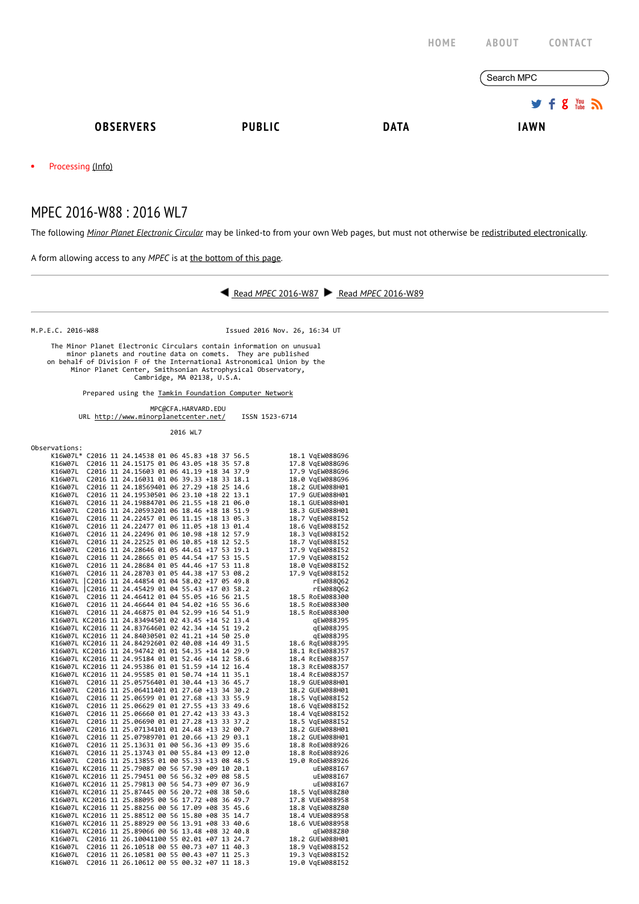|                        |                                                                                                                                                                             |               |             | HOME | <b>ABOUT</b><br><b>CONTACT</b> |               |  |
|------------------------|-----------------------------------------------------------------------------------------------------------------------------------------------------------------------------|---------------|-------------|------|--------------------------------|---------------|--|
|                        |                                                                                                                                                                             |               |             |      | Search MPC                     |               |  |
|                        |                                                                                                                                                                             |               |             |      |                                | $9f8$ $m$ $m$ |  |
|                        | <b>OBSERVERS</b>                                                                                                                                                            | <b>PUBLIC</b> | <b>DATA</b> |      | <b>IAWN</b>                    |               |  |
| Processing (Info)<br>٠ |                                                                                                                                                                             |               |             |      |                                |               |  |
|                        | MPEC 2016-W88: 2016 WL7<br>The following Minor Planet Electronic Circular may be linked-to from your own Web pages, but must not otherwise be redistributed electronically. |               |             |      |                                |               |  |

A form allowing access to any MPEC is at the [bottom](http://www.minorplanetcenter.net/mpec/K16/K16W88.html#form) of this page.

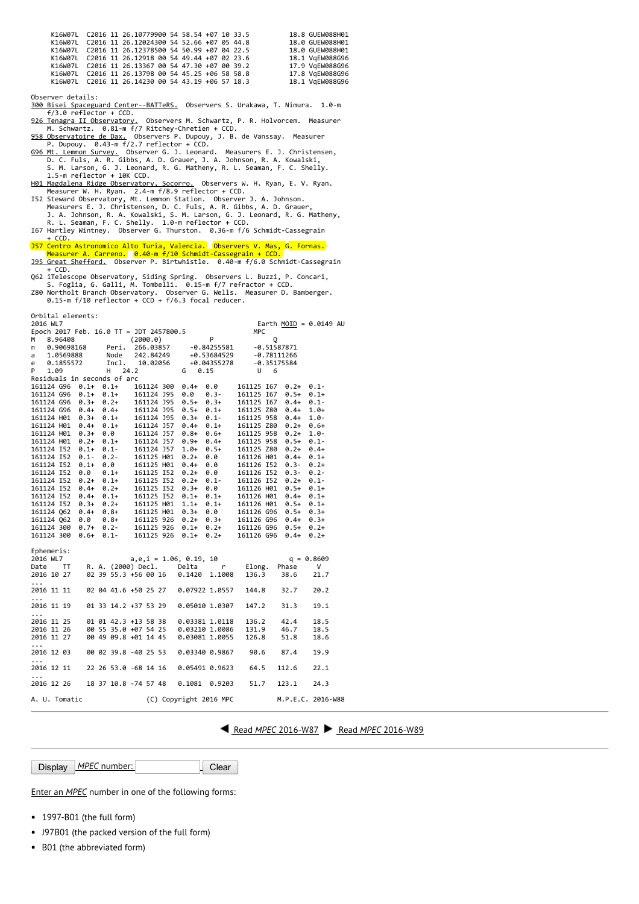|  |  | K16W07L C2016 11 26.10779900 54 58.54 +07 10 33.5 |  |  |  | 18.8 GUEW088H01 |  |
|--|--|---------------------------------------------------|--|--|--|-----------------|--|
|  |  | K16W07L C2016 11 26.12024300 54 52.66 +07 05 44.8 |  |  |  | 18.0 GUEW088H01 |  |
|  |  | K16W07L C2016 11 26.12378500 54 50.99 +07 04 22.5 |  |  |  | 18.0 GUEW088H01 |  |
|  |  | K16W07L C2016 11 26.12918 00 54 49.44 +07 02 23.6 |  |  |  | 18.1 VgEW088G96 |  |
|  |  | K16W07L C2016 11 26.13367 00 54 47.30 +07 00 39.2 |  |  |  | 17.9 VgEW088G96 |  |
|  |  | K16W07L C2016 11 26.13798 00 54 45.25 +06 58 58.8 |  |  |  | 17.8 VgEW088G96 |  |
|  |  | K16W07L C2016 11 26.14230 00 54 43.19 +06 57 18.3 |  |  |  | 18.1 VgEW088G96 |  |

Observer details:

300 Bisei Spaceguard Center--BATTeRS. Observers S. Urakawa, T. Nimura. 1.0-m<br> $f/3.0$  reflector + CCD.

- 
- 

f/3.0 reflector + CCD.<br> [926 Tenagra II Observatory.](http://www.tenagraobservatories.com/) Observers M. Schwartz, P. R. Holvorcem. Measurer<br>
M. Schwartz. 0.81-m f/7 Ritchey-Chretien + CCD.<br> [958 Observatoire de Dax.](http://www.astrosurf.com/obsdax) Observers P. Dupouy, J. B. de Vanssay. Measure

H01 Magdalena Ridge Observatory, Socorro, Observers W. H. Ryan, E. V. Ryan.<br>Measurer W. H. Ryan. 2.4-m f/8.9 reflector + CCD.<br>I52 Steward Observatory, Mt. Lemmon Station. Observer J. A. Johnson.<br>Measurers E. J. Christensen

 $+$  CCD.

J57 Centro Astronomico Alto Turia, Valencia. Observers V. Mas, G. Fornas. Measurer A. Carreno. 0.40‐m f/10 Schmidt‐Cassegrain + CCD. [J95 Great Shefford.](http://www.birtwhistle.org/) Observer P. Birtwhistle. 0.40‐m f/6.0 Schmidt‐Cassegrain

+ CCD.<br>Q62 iTelescope Observatory, Siding Spring. Observers L. Buzzi, P. Concari,<br>S. Foglia, G. Galli, M. Tombelli. 0.15-m f/7 refractor + CCD.<br>Z80 Northolt Branch Observatory. Observer G. Wells. Measurer D. Bamberger.<br>0.1

Orbital elements:

| 2016 WL7                                              |                                                                                                                                                                                                                                                                                                                                              |                      | Earth MOID = $0.0149$ AU                      |              |  |  |  |  |  |
|-------------------------------------------------------|----------------------------------------------------------------------------------------------------------------------------------------------------------------------------------------------------------------------------------------------------------------------------------------------------------------------------------------------|----------------------|-----------------------------------------------|--------------|--|--|--|--|--|
| Epoch 2017 Feb. 16.0 TT = JDT 2457800.5<br><b>MPC</b> |                                                                                                                                                                                                                                                                                                                                              |                      |                                               |              |  |  |  |  |  |
| 8.96408<br>м                                          | (2000.0)                                                                                                                                                                                                                                                                                                                                     | P                    | Q                                             |              |  |  |  |  |  |
| 0.90698168<br>n                                       | Peri. 266.03857 -0.84255581                                                                                                                                                                                                                                                                                                                  |                      | $-0.51587871$                                 |              |  |  |  |  |  |
| 1.0569888<br>a                                        |                                                                                                                                                                                                                                                                                                                                              |                      |                                               |              |  |  |  |  |  |
| 0.1855572<br>e                                        | Node 242.84249 +0.53684529 -0.78111266<br>Incl. 10.02056 +0.04355278 -0.35175584                                                                                                                                                                                                                                                             |                      |                                               |              |  |  |  |  |  |
| P<br>1.09                                             | 24.2<br>H.                                                                                                                                                                                                                                                                                                                                   | 0.15<br>G            | U<br>- 6                                      |              |  |  |  |  |  |
| Residuals in seconds of arc                           |                                                                                                                                                                                                                                                                                                                                              |                      |                                               |              |  |  |  |  |  |
| 161124 G96 0.1+ 0.1+                                  |                                                                                                                                                                                                                                                                                                                                              | 161124 300 0.4+ 0.0  | 161125 167 0.2+                               | $0.1 -$      |  |  |  |  |  |
|                                                       |                                                                                                                                                                                                                                                                                                                                              |                      | 161125 167 0.5+                               | $0.1 +$      |  |  |  |  |  |
|                                                       |                                                                                                                                                                                                                                                                                                                                              |                      | 161125 167 0.4+                               | $0.1 -$      |  |  |  |  |  |
|                                                       |                                                                                                                                                                                                                                                                                                                                              |                      | 161125 Z80 0.4+                               | $1.0+$       |  |  |  |  |  |
|                                                       |                                                                                                                                                                                                                                                                                                                                              |                      | 161125 958 0.4+                               | $1.0 -$      |  |  |  |  |  |
|                                                       | 161124 H01 0.4+ 0.1+ 161124 J57 0.4+ 0.1+                                                                                                                                                                                                                                                                                                    |                      | 161125 Z80 0.2+                               | $0.6+$       |  |  |  |  |  |
|                                                       |                                                                                                                                                                                                                                                                                                                                              |                      | 161125 958<br>$0.2+$                          | $1.0 -$      |  |  |  |  |  |
|                                                       |                                                                                                                                                                                                                                                                                                                                              |                      | 161125 958 0.5+                               | $0.1 -$      |  |  |  |  |  |
| 161124 I52                                            | $0.1+ 0.1- 161124$ J57 $1.0+$<br>0.1- 0.2- 161125 H01 0.2+                                                                                                                                                                                                                                                                                   |                      | $0.5+$ 161125 280 0.2+<br>0.0 161126 H01 0.4+ | $0.4 +$      |  |  |  |  |  |
| 161124 152 0.1-                                       |                                                                                                                                                                                                                                                                                                                                              |                      | 161126 H01 0.4+ 0.1+                          |              |  |  |  |  |  |
| 161124 I52<br>$0.1+$                                  | 0.0<br>161125 H01                                                                                                                                                                                                                                                                                                                            | 0.0<br>$0.4 +$       | 161126 I52 0.3-                               | $0.2 +$      |  |  |  |  |  |
| 161124 I52                                            | 0.0 0.1+ 161125 I52 0.2+ 0.0<br>0.2+ 0.1+ 161125 I52 0.2+ 0.1-                                                                                                                                                                                                                                                                               |                      | 161126 I52 0.3-                               | $0.2 -$      |  |  |  |  |  |
| 161124 I52                                            |                                                                                                                                                                                                                                                                                                                                              |                      | 161126 152 0.2+                               | $0.1 -$      |  |  |  |  |  |
|                                                       | 161124 152 0.4+ 0.2+ 161125 152 0.3+ 0.0<br>161124 152 0.4+ 0.1+ 161125 152 0.1+ 0.1+                                                                                                                                                                                                                                                        | 0.0                  | 161126 H01 0.5+                               | $0.1+$       |  |  |  |  |  |
|                                                       |                                                                                                                                                                                                                                                                                                                                              |                      | 161126 H01 0.4+                               | $0.1 +$      |  |  |  |  |  |
| 161124 I52                                            | $0.3 + 0.2 +$                                                                                                                                                                                                                                                                                                                                | 161125 H01 1.1+ 0.1+ | 161126 H01 0.5+                               | $0.1 +$      |  |  |  |  |  |
|                                                       | $161124\ \ 062\quad \ 0.4+ \quad 0.8+ \qquad 161125\ \  \text{H01}\quad \ 0.3+ \quad \ 0.0+ \qquad 161126\ \  \text{G96}\quad \ 0.5+ \quad 0.3+ \qquad 161126\ \  \text{G96}\quad \ 0.4+ \quad 0.3+ \qquad 161126\ \  \text{G97}\quad \ 0.4+ \qquad 0.3+ \qquad 0.4+ \qquad 0.3+ \qquad 0.4+ \qquad 0.3+ \qquad 0.4+ \qquad 0.4+ \qquad 0.4$ |                      |                                               |              |  |  |  |  |  |
|                                                       |                                                                                                                                                                                                                                                                                                                                              |                      |                                               |              |  |  |  |  |  |
|                                                       | $161124 300 0.7+ 0.2- 161125 926 0.1+ 0.2+ 161126 696 0.5+ 0.2+ 161124 300 0.6+ 0.1- 161125 926 0.1+ 0.2+ 161126 696 0.4+ 0.2+$                                                                                                                                                                                                              |                      |                                               |              |  |  |  |  |  |
|                                                       |                                                                                                                                                                                                                                                                                                                                              |                      |                                               |              |  |  |  |  |  |
|                                                       |                                                                                                                                                                                                                                                                                                                                              |                      |                                               |              |  |  |  |  |  |
| Ephemeris:                                            |                                                                                                                                                                                                                                                                                                                                              |                      |                                               |              |  |  |  |  |  |
| 2016 WL7                                              | a,e,i = 1.06, 0.19, 10                                                                                                                                                                                                                                                                                                                       |                      |                                               | $q = 0.8609$ |  |  |  |  |  |
|                                                       | Date TT R. A. (2000) Decl. Delta<br>2016 10 27 02 39 55.3 +56 00 16 0.1420 1.                                                                                                                                                                                                                                                                | r                    | Elong.<br>Phase                               | V            |  |  |  |  |  |
|                                                       | 02 39 55.3 +56 00 16 0.1420 1.1008                                                                                                                                                                                                                                                                                                           |                      | 136.3<br>38.6                                 | 21.7         |  |  |  |  |  |
| .                                                     |                                                                                                                                                                                                                                                                                                                                              |                      |                                               |              |  |  |  |  |  |
|                                                       |                                                                                                                                                                                                                                                                                                                                              |                      | 32.7                                          | 20.2         |  |  |  |  |  |
| .                                                     |                                                                                                                                                                                                                                                                                                                                              |                      |                                               |              |  |  |  |  |  |
| 2016 11 19                                            | 01 33 14.2 +37 53 29                                                                                                                                                                                                                                                                                                                         | 0.05010 1.0307       | 147.2<br>31.3                                 | 19.1         |  |  |  |  |  |
| $\cdots$                                              |                                                                                                                                                                                                                                                                                                                                              |                      |                                               |              |  |  |  |  |  |
| 2016 11 25<br>2016 11 26                              | 01 01 42.3 +13 58 38 0.03381 1.0118                                                                                                                                                                                                                                                                                                          |                      | 136.2<br>42.4                                 | 18.5         |  |  |  |  |  |
|                                                       | 00 55 35.0 +07 54 25 0.03210 1.0086                                                                                                                                                                                                                                                                                                          |                      | 131.9<br>46.7                                 | 18.5         |  |  |  |  |  |
| 2016 11 27                                            | 00 49 09.8 +01 14 45 0.03081 1.0055                                                                                                                                                                                                                                                                                                          |                      | 126.8<br>51.8                                 | 18.6         |  |  |  |  |  |
| $\cdots$                                              |                                                                                                                                                                                                                                                                                                                                              |                      |                                               |              |  |  |  |  |  |
| 2016 12 03                                            | 00 02 39.8 -40 25 53                                                                                                                                                                                                                                                                                                                         |                      | 90.6<br>87.4                                  | 19.9         |  |  |  |  |  |
| $\ddots$                                              |                                                                                                                                                                                                                                                                                                                                              |                      |                                               |              |  |  |  |  |  |
| 2016 12 11                                            | 22 26 53.0 -68 14 16                                                                                                                                                                                                                                                                                                                         | 0.05491 0.9623       | 64.5<br>112.6                                 | 22.1         |  |  |  |  |  |
| $\cdots$                                              |                                                                                                                                                                                                                                                                                                                                              |                      |                                               |              |  |  |  |  |  |
| 2016 12 26                                            | 18 37 10.8 -74 57 48                                                                                                                                                                                                                                                                                                                         | 0.1081<br>0.9203     | 51.7<br>123.1                                 | 24.3         |  |  |  |  |  |

A. U. Tomatic (C) Copyright 2016 MPC M.P.E.C. 2016‐W88

Read MPEC [2016-W87](http://www.minorplanetcenter.net/mpec/K16/K16W87.html) Read MPEC [2016-W89](http://www.minorplanetcenter.net/mpec/K16/K16W89.html)

Display MPEC number: Clear

Enter an [MPEC](http://www.minorplanetcenter.net/iau/services/MPEC.html) number in one of the following forms:

- 1997-B01 (the full form)
- J97B01 (the packed version of the full form)
- B01 (the abbreviated form)